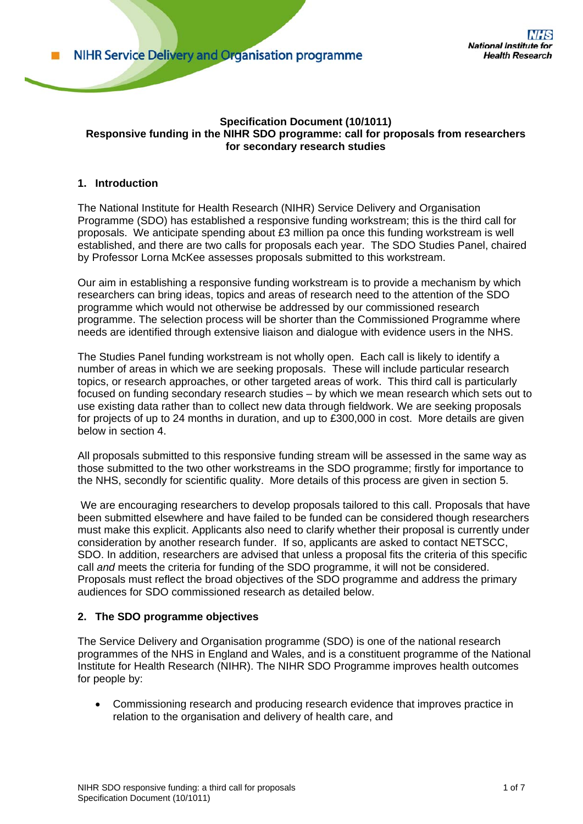#### **Specification Document (10/1011) Responsive funding in the NIHR SDO programme: call for proposals from researchers for secondary research studies**

## **1. Introduction**

The National Institute for Health Research (NIHR) Service Delivery and Organisation Programme (SDO) has established a responsive funding workstream; this is the third call for proposals. We anticipate spending about £3 million pa once this funding workstream is well established, and there are two calls for proposals each year. The SDO Studies Panel, chaired by Professor Lorna McKee assesses proposals submitted to this workstream.

Our aim in establishing a responsive funding workstream is to provide a mechanism by which researchers can bring ideas, topics and areas of research need to the attention of the SDO programme which would not otherwise be addressed by our commissioned research programme. The selection process will be shorter than the Commissioned Programme where needs are identified through extensive liaison and dialogue with evidence users in the NHS.

The Studies Panel funding workstream is not wholly open. Each call is likely to identify a number of areas in which we are seeking proposals. These will include particular research topics, or research approaches, or other targeted areas of work. This third call is particularly focused on funding secondary research studies – by which we mean research which sets out to use existing data rather than to collect new data through fieldwork. We are seeking proposals for projects of up to 24 months in duration, and up to £300,000 in cost. More details are given below in section 4.

All proposals submitted to this responsive funding stream will be assessed in the same way as those submitted to the two other workstreams in the SDO programme; firstly for importance to the NHS, secondly for scientific quality. More details of this process are given in section 5.

 We are encouraging researchers to develop proposals tailored to this call. Proposals that have been submitted elsewhere and have failed to be funded can be considered though researchers must make this explicit. Applicants also need to clarify whether their proposal is currently under consideration by another research funder. If so, applicants are asked to contact NETSCC, SDO. In addition, researchers are advised that unless a proposal fits the criteria of this specific call *and* meets the criteria for funding of the SDO programme, it will not be considered. Proposals must reflect the broad objectives of the SDO programme and address the primary audiences for SDO commissioned research as detailed below.

# **2. The SDO programme objectives**

The Service Delivery and Organisation programme (SDO) is one of the national research programmes of the NHS in England and Wales, and is a constituent programme of the National Institute for Health Research (NIHR). The NIHR SDO Programme improves health outcomes for people by:

• Commissioning research and producing research evidence that improves practice in relation to the organisation and delivery of health care, and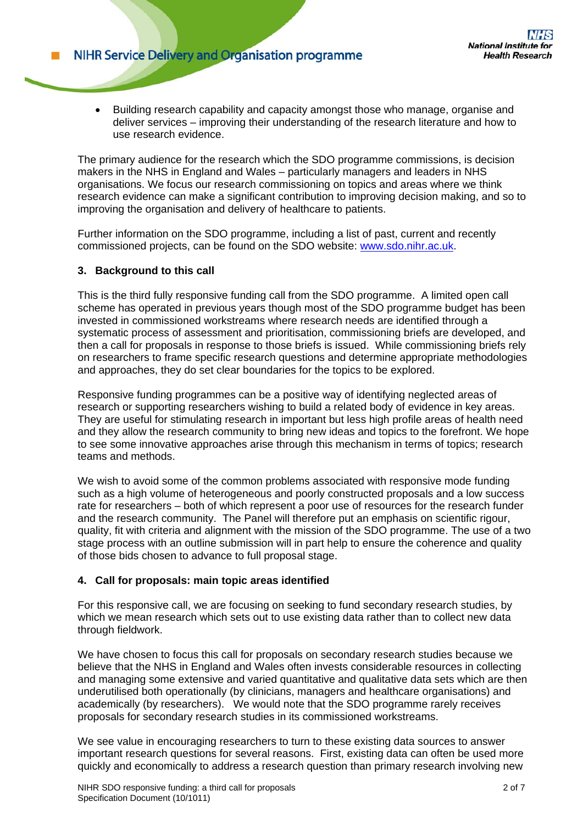• Building research capability and capacity amongst those who manage, organise and deliver services – improving their understanding of the research literature and how to use research evidence.

The primary audience for the research which the SDO programme commissions, is decision makers in the NHS in England and Wales – particularly managers and leaders in NHS organisations. We focus our research commissioning on topics and areas where we think research evidence can make a significant contribution to improving decision making, and so to improving the organisation and delivery of healthcare to patients.

Further information on the SDO programme, including a list of past, current and recently commissioned projects, can be found on the SDO website: www.sdo.nihr.ac.uk.

## **3. Background to this call**

This is the third fully responsive funding call from the SDO programme. A limited open call scheme has operated in previous years though most of the SDO programme budget has been invested in commissioned workstreams where research needs are identified through a systematic process of assessment and prioritisation, commissioning briefs are developed, and then a call for proposals in response to those briefs is issued. While commissioning briefs rely on researchers to frame specific research questions and determine appropriate methodologies and approaches, they do set clear boundaries for the topics to be explored.

Responsive funding programmes can be a positive way of identifying neglected areas of research or supporting researchers wishing to build a related body of evidence in key areas. They are useful for stimulating research in important but less high profile areas of health need and they allow the research community to bring new ideas and topics to the forefront. We hope to see some innovative approaches arise through this mechanism in terms of topics; research teams and methods.

We wish to avoid some of the common problems associated with responsive mode funding such as a high volume of heterogeneous and poorly constructed proposals and a low success rate for researchers – both of which represent a poor use of resources for the research funder and the research community. The Panel will therefore put an emphasis on scientific rigour, quality, fit with criteria and alignment with the mission of the SDO programme. The use of a two stage process with an outline submission will in part help to ensure the coherence and quality of those bids chosen to advance to full proposal stage.

## **4. Call for proposals: main topic areas identified**

For this responsive call, we are focusing on seeking to fund secondary research studies, by which we mean research which sets out to use existing data rather than to collect new data through fieldwork.

We have chosen to focus this call for proposals on secondary research studies because we believe that the NHS in England and Wales often invests considerable resources in collecting and managing some extensive and varied quantitative and qualitative data sets which are then underutilised both operationally (by clinicians, managers and healthcare organisations) and academically (by researchers). We would note that the SDO programme rarely receives proposals for secondary research studies in its commissioned workstreams.

We see value in encouraging researchers to turn to these existing data sources to answer important research questions for several reasons. First, existing data can often be used more quickly and economically to address a research question than primary research involving new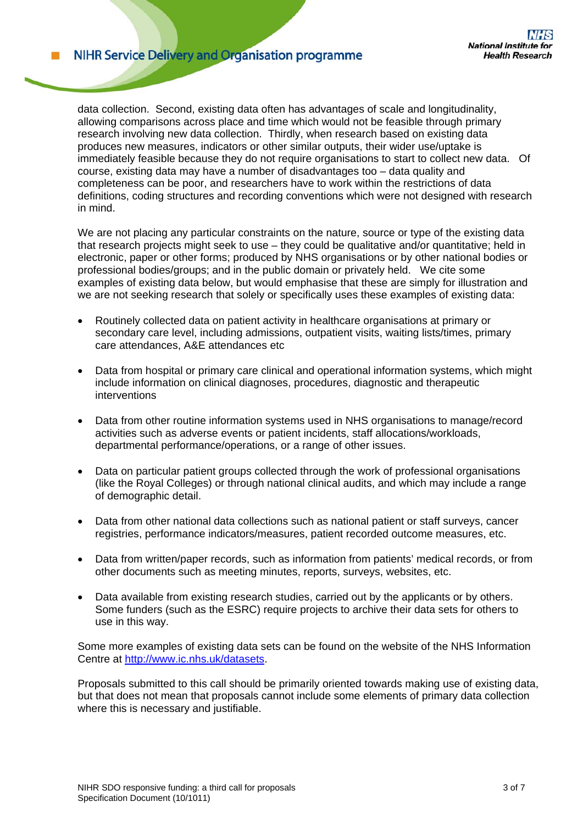**NIHR Service Delivery and Organisation programme** 

data collection. Second, existing data often has advantages of scale and longitudinality, allowing comparisons across place and time which would not be feasible through primary research involving new data collection. Thirdly, when research based on existing data produces new measures, indicators or other similar outputs, their wider use/uptake is immediately feasible because they do not require organisations to start to collect new data. Of course, existing data may have a number of disadvantages too – data quality and completeness can be poor, and researchers have to work within the restrictions of data definitions, coding structures and recording conventions which were not designed with research in mind.

We are not placing any particular constraints on the nature, source or type of the existing data that research projects might seek to use – they could be qualitative and/or quantitative; held in electronic, paper or other forms; produced by NHS organisations or by other national bodies or professional bodies/groups; and in the public domain or privately held. We cite some examples of existing data below, but would emphasise that these are simply for illustration and we are not seeking research that solely or specifically uses these examples of existing data:

- Routinely collected data on patient activity in healthcare organisations at primary or secondary care level, including admissions, outpatient visits, waiting lists/times, primary care attendances, A&E attendances etc
- Data from hospital or primary care clinical and operational information systems, which might include information on clinical diagnoses, procedures, diagnostic and therapeutic interventions
- Data from other routine information systems used in NHS organisations to manage/record activities such as adverse events or patient incidents, staff allocations/workloads, departmental performance/operations, or a range of other issues.
- Data on particular patient groups collected through the work of professional organisations (like the Royal Colleges) or through national clinical audits, and which may include a range of demographic detail.
- Data from other national data collections such as national patient or staff surveys, cancer registries, performance indicators/measures, patient recorded outcome measures, etc.
- Data from written/paper records, such as information from patients' medical records, or from other documents such as meeting minutes, reports, surveys, websites, etc.
- Data available from existing research studies, carried out by the applicants or by others. Some funders (such as the ESRC) require projects to archive their data sets for others to use in this way.

Some more examples of existing data sets can be found on the website of the NHS Information Centre at http://www.ic.nhs.uk/datasets.

Proposals submitted to this call should be primarily oriented towards making use of existing data, but that does not mean that proposals cannot include some elements of primary data collection where this is necessary and justifiable.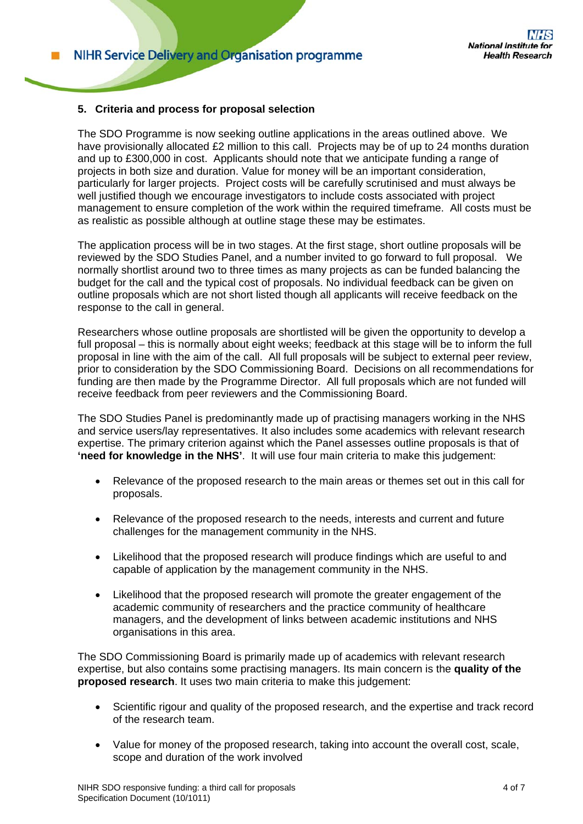## **5. Criteria and process for proposal selection**

The SDO Programme is now seeking outline applications in the areas outlined above. We have provisionally allocated £2 million to this call. Projects may be of up to 24 months duration and up to £300,000 in cost. Applicants should note that we anticipate funding a range of projects in both size and duration. Value for money will be an important consideration, particularly for larger projects. Project costs will be carefully scrutinised and must always be well justified though we encourage investigators to include costs associated with project management to ensure completion of the work within the required timeframe. All costs must be as realistic as possible although at outline stage these may be estimates.

The application process will be in two stages. At the first stage, short outline proposals will be reviewed by the SDO Studies Panel, and a number invited to go forward to full proposal. We normally shortlist around two to three times as many projects as can be funded balancing the budget for the call and the typical cost of proposals. No individual feedback can be given on outline proposals which are not short listed though all applicants will receive feedback on the response to the call in general.

Researchers whose outline proposals are shortlisted will be given the opportunity to develop a full proposal – this is normally about eight weeks; feedback at this stage will be to inform the full proposal in line with the aim of the call. All full proposals will be subject to external peer review, prior to consideration by the SDO Commissioning Board. Decisions on all recommendations for funding are then made by the Programme Director. All full proposals which are not funded will receive feedback from peer reviewers and the Commissioning Board.

The SDO Studies Panel is predominantly made up of practising managers working in the NHS and service users/lay representatives. It also includes some academics with relevant research expertise. The primary criterion against which the Panel assesses outline proposals is that of **'need for knowledge in the NHS'**. It will use four main criteria to make this judgement:

- Relevance of the proposed research to the main areas or themes set out in this call for proposals.
- Relevance of the proposed research to the needs, interests and current and future challenges for the management community in the NHS.
- Likelihood that the proposed research will produce findings which are useful to and capable of application by the management community in the NHS.
- Likelihood that the proposed research will promote the greater engagement of the academic community of researchers and the practice community of healthcare managers, and the development of links between academic institutions and NHS organisations in this area.

The SDO Commissioning Board is primarily made up of academics with relevant research expertise, but also contains some practising managers. Its main concern is the **quality of the proposed research**. It uses two main criteria to make this judgement:

- Scientific rigour and quality of the proposed research, and the expertise and track record of the research team.
- Value for money of the proposed research, taking into account the overall cost, scale, scope and duration of the work involved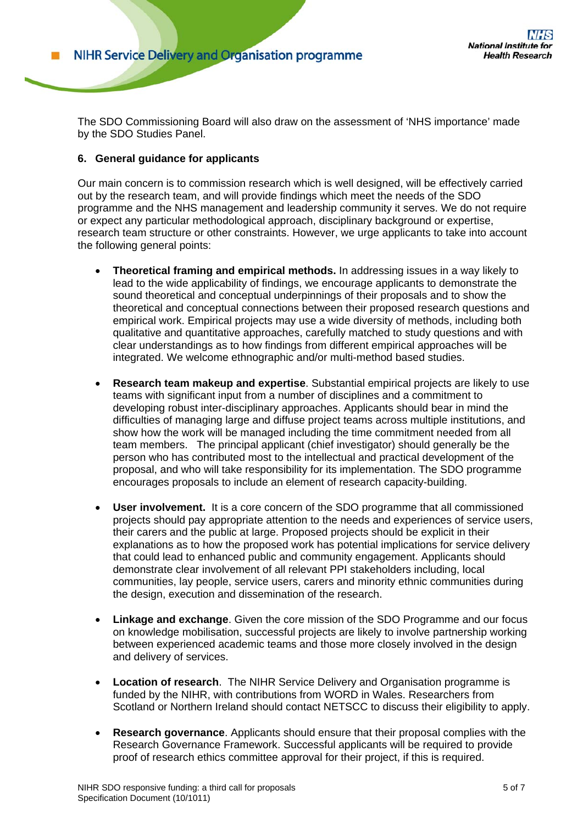The SDO Commissioning Board will also draw on the assessment of 'NHS importance' made by the SDO Studies Panel.

## **6. General guidance for applicants**

Our main concern is to commission research which is well designed, will be effectively carried out by the research team, and will provide findings which meet the needs of the SDO programme and the NHS management and leadership community it serves. We do not require or expect any particular methodological approach, disciplinary background or expertise, research team structure or other constraints. However, we urge applicants to take into account the following general points:

- **Theoretical framing and empirical methods.** In addressing issues in a way likely to lead to the wide applicability of findings, we encourage applicants to demonstrate the sound theoretical and conceptual underpinnings of their proposals and to show the theoretical and conceptual connections between their proposed research questions and empirical work. Empirical projects may use a wide diversity of methods, including both qualitative and quantitative approaches, carefully matched to study questions and with clear understandings as to how findings from different empirical approaches will be integrated. We welcome ethnographic and/or multi-method based studies.
- **Research team makeup and expertise**. Substantial empirical projects are likely to use teams with significant input from a number of disciplines and a commitment to developing robust inter-disciplinary approaches. Applicants should bear in mind the difficulties of managing large and diffuse project teams across multiple institutions, and show how the work will be managed including the time commitment needed from all team members. The principal applicant (chief investigator) should generally be the person who has contributed most to the intellectual and practical development of the proposal, and who will take responsibility for its implementation. The SDO programme encourages proposals to include an element of research capacity-building.
- **User involvement.** It is a core concern of the SDO programme that all commissioned projects should pay appropriate attention to the needs and experiences of service users, their carers and the public at large. Proposed projects should be explicit in their explanations as to how the proposed work has potential implications for service delivery that could lead to enhanced public and community engagement. Applicants should demonstrate clear involvement of all relevant PPI stakeholders including, local communities, lay people, service users, carers and minority ethnic communities during the design, execution and dissemination of the research.
- **Linkage and exchange**. Given the core mission of the SDO Programme and our focus on knowledge mobilisation, successful projects are likely to involve partnership working between experienced academic teams and those more closely involved in the design and delivery of services.
- **Location of research**. The NIHR Service Delivery and Organisation programme is funded by the NIHR, with contributions from WORD in Wales. Researchers from Scotland or Northern Ireland should contact NETSCC to discuss their eligibility to apply.
- **Research governance**. Applicants should ensure that their proposal complies with the Research Governance Framework. Successful applicants will be required to provide proof of research ethics committee approval for their project, if this is required.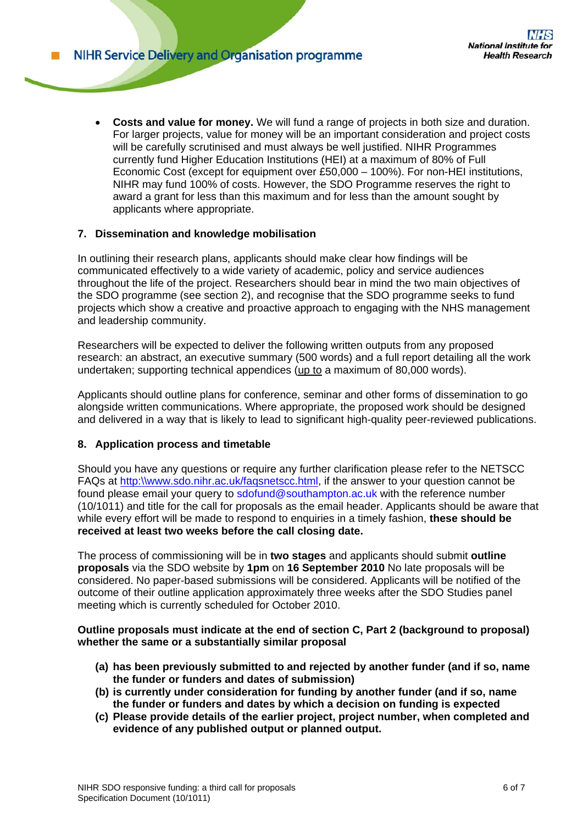• **Costs and value for money.** We will fund a range of projects in both size and duration. For larger projects, value for money will be an important consideration and project costs will be carefully scrutinised and must always be well justified. NIHR Programmes currently fund Higher Education Institutions (HEI) at a maximum of 80% of Full Economic Cost (except for equipment over £50,000 – 100%). For non-HEI institutions, NIHR may fund 100% of costs. However, the SDO Programme reserves the right to award a grant for less than this maximum and for less than the amount sought by applicants where appropriate.

## **7. Dissemination and knowledge mobilisation**

In outlining their research plans, applicants should make clear how findings will be communicated effectively to a wide variety of academic, policy and service audiences throughout the life of the project. Researchers should bear in mind the two main objectives of the SDO programme (see section 2), and recognise that the SDO programme seeks to fund projects which show a creative and proactive approach to engaging with the NHS management and leadership community.

Researchers will be expected to deliver the following written outputs from any proposed research: an abstract, an executive summary (500 words) and a full report detailing all the work undertaken; supporting technical appendices (up to a maximum of 80,000 words).

Applicants should outline plans for conference, seminar and other forms of dissemination to go alongside written communications. Where appropriate, the proposed work should be designed and delivered in a way that is likely to lead to significant high-quality peer-reviewed publications.

## **8. Application process and timetable**

Should you have any questions or require any further clarification please refer to the NETSCC FAQs at http:\\www.sdo.nihr.ac.uk/faqsnetscc.html, if the answer to your question cannot be found please email your query to sdofund@southampton.ac.uk with the reference number (10/1011) and title for the call for proposals as the email header. Applicants should be aware that while every effort will be made to respond to enquiries in a timely fashion, **these should be received at least two weeks before the call closing date.** 

The process of commissioning will be in **two stages** and applicants should submit **outline proposals** via the SDO website by **1pm** on **16 September 2010** No late proposals will be considered. No paper-based submissions will be considered. Applicants will be notified of the outcome of their outline application approximately three weeks after the SDO Studies panel meeting which is currently scheduled for October 2010.

## **Outline proposals must indicate at the end of section C, Part 2 (background to proposal) whether the same or a substantially similar proposal**

- **(a) has been previously submitted to and rejected by another funder (and if so, name the funder or funders and dates of submission)**
- **(b) is currently under consideration for funding by another funder (and if so, name the funder or funders and dates by which a decision on funding is expected**
- **(c) Please provide details of the earlier project, project number, when completed and evidence of any published output or planned output.**